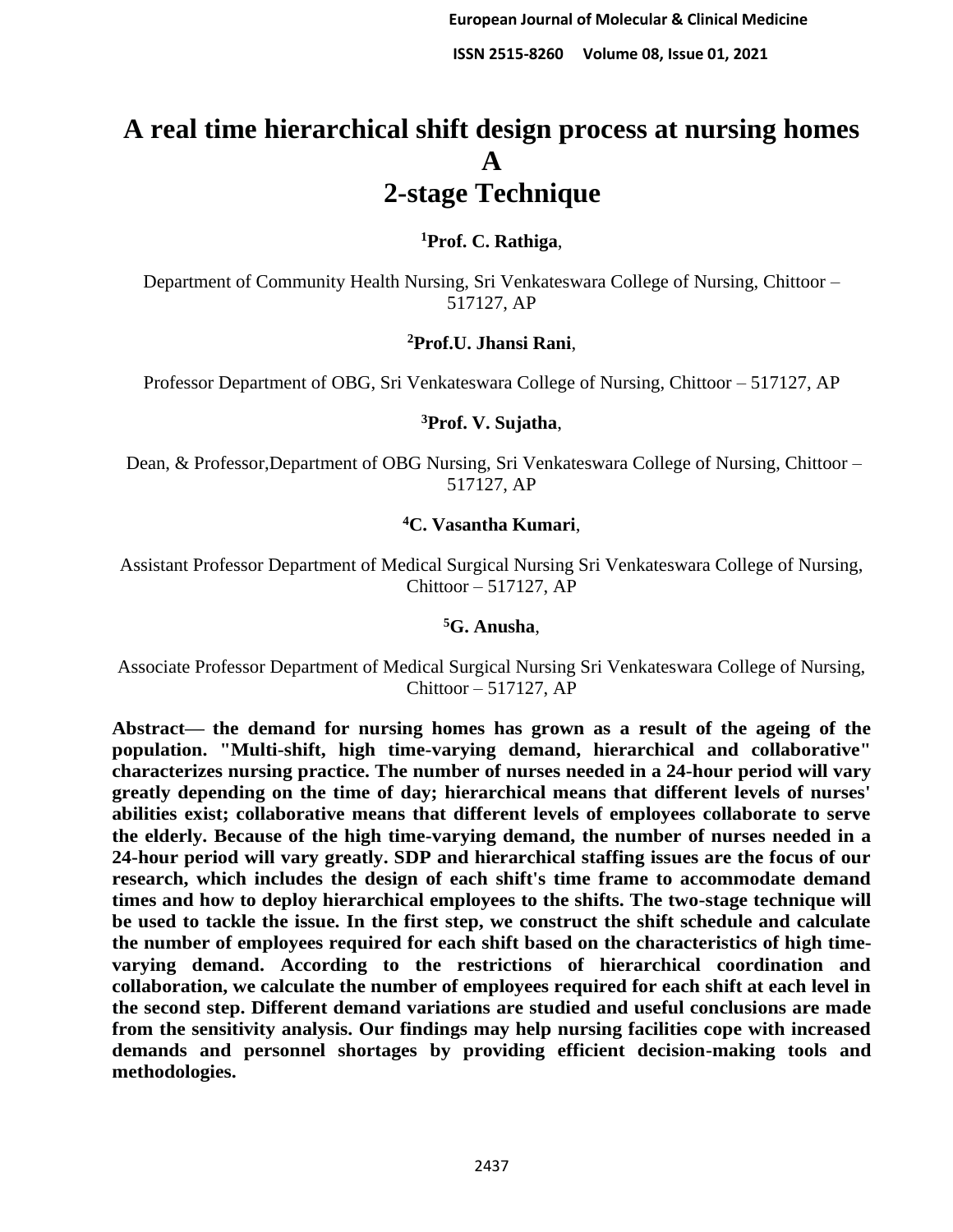# **A real time hierarchical shift design process at nursing homes A 2-stage Technique**

# **<sup>1</sup>Prof. C. Rathiga**,

Department of Community Health Nursing, Sri Venkateswara College of Nursing, Chittoor – 517127, AP

# **<sup>2</sup>Prof.U. Jhansi Rani**,

Professor Department of OBG, Sri Venkateswara College of Nursing, Chittoor – 517127, AP

## **<sup>3</sup>Prof. V. Sujatha**,

Dean, & Professor,Department of OBG Nursing, Sri Venkateswara College of Nursing, Chittoor – 517127, AP

## **<sup>4</sup>C. Vasantha Kumari**,

Assistant Professor Department of Medical Surgical Nursing Sri Venkateswara College of Nursing, Chittoor – 517127, AP

## **<sup>5</sup>G. Anusha**,

Associate Professor Department of Medical Surgical Nursing Sri Venkateswara College of Nursing, Chittoor – 517127, AP

**Abstract— the demand for nursing homes has grown as a result of the ageing of the population. "Multi-shift, high time-varying demand, hierarchical and collaborative" characterizes nursing practice. The number of nurses needed in a 24-hour period will vary greatly depending on the time of day; hierarchical means that different levels of nurses' abilities exist; collaborative means that different levels of employees collaborate to serve the elderly. Because of the high time-varying demand, the number of nurses needed in a 24-hour period will vary greatly. SDP and hierarchical staffing issues are the focus of our research, which includes the design of each shift's time frame to accommodate demand times and how to deploy hierarchical employees to the shifts. The two-stage technique will be used to tackle the issue. In the first step, we construct the shift schedule and calculate the number of employees required for each shift based on the characteristics of high timevarying demand. According to the restrictions of hierarchical coordination and collaboration, we calculate the number of employees required for each shift at each level in the second step. Different demand variations are studied and useful conclusions are made from the sensitivity analysis. Our findings may help nursing facilities cope with increased demands and personnel shortages by providing efficient decision-making tools and methodologies.**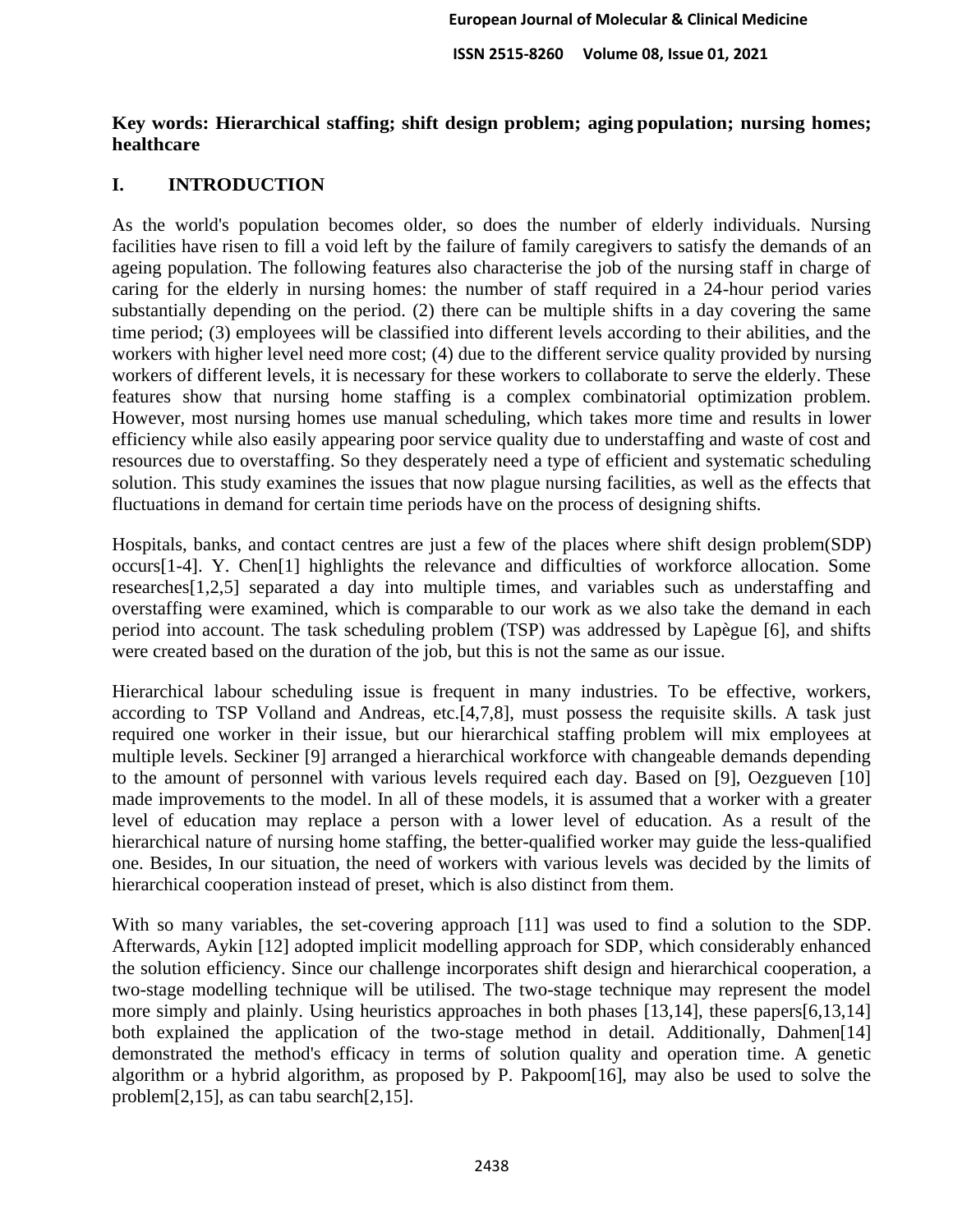# **Key words: Hierarchical staffing; shift design problem; aging population; nursing homes; healthcare**

# **I. INTRODUCTION**

As the world's population becomes older, so does the number of elderly individuals. Nursing facilities have risen to fill a void left by the failure of family caregivers to satisfy the demands of an ageing population. The following features also characterise the job of the nursing staff in charge of caring for the elderly in nursing homes: the number of staff required in a 24-hour period varies substantially depending on the period. (2) there can be multiple shifts in a day covering the same time period; (3) employees will be classified into different levels according to their abilities, and the workers with higher level need more cost; (4) due to the different service quality provided by nursing workers of different levels, it is necessary for these workers to collaborate to serve the elderly. These features show that nursing home staffing is a complex combinatorial optimization problem. However, most nursing homes use manual scheduling, which takes more time and results in lower efficiency while also easily appearing poor service quality due to understaffing and waste of cost and resources due to overstaffing. So they desperately need a type of efficient and systematic scheduling solution. This study examines the issues that now plague nursing facilities, as well as the effects that fluctuations in demand for certain time periods have on the process of designing shifts.

Hospitals, banks, and contact centres are just a few of the places where shift design problem(SDP) occurs[1-4]. Y. Chen[1] highlights the relevance and difficulties of workforce allocation. Some researches[1,2,5] separated a day into multiple times, and variables such as understaffing and overstaffing were examined, which is comparable to our work as we also take the demand in each period into account. The task scheduling problem (TSP) was addressed by Lapègue [6], and shifts were created based on the duration of the job, but this is not the same as our issue.

Hierarchical labour scheduling issue is frequent in many industries. To be effective, workers, according to TSP Volland and Andreas, etc.[4,7,8], must possess the requisite skills. A task just required one worker in their issue, but our hierarchical staffing problem will mix employees at multiple levels. Seckiner [9] arranged a hierarchical workforce with changeable demands depending to the amount of personnel with various levels required each day. Based on [9], Oezgueven [10] made improvements to the model. In all of these models, it is assumed that a worker with a greater level of education may replace a person with a lower level of education. As a result of the hierarchical nature of nursing home staffing, the better-qualified worker may guide the less-qualified one. Besides, In our situation, the need of workers with various levels was decided by the limits of hierarchical cooperation instead of preset, which is also distinct from them.

With so many variables, the set-covering approach [11] was used to find a solution to the SDP. Afterwards, Aykin [12] adopted implicit modelling approach for SDP, which considerably enhanced the solution efficiency. Since our challenge incorporates shift design and hierarchical cooperation, a two-stage modelling technique will be utilised. The two-stage technique may represent the model more simply and plainly. Using heuristics approaches in both phases [13,14], these papers[6,13,14] both explained the application of the two-stage method in detail. Additionally, Dahmen[14] demonstrated the method's efficacy in terms of solution quality and operation time. A genetic algorithm or a hybrid algorithm, as proposed by P. Pakpoom[16], may also be used to solve the problem[2,15], as can tabu search[2,15].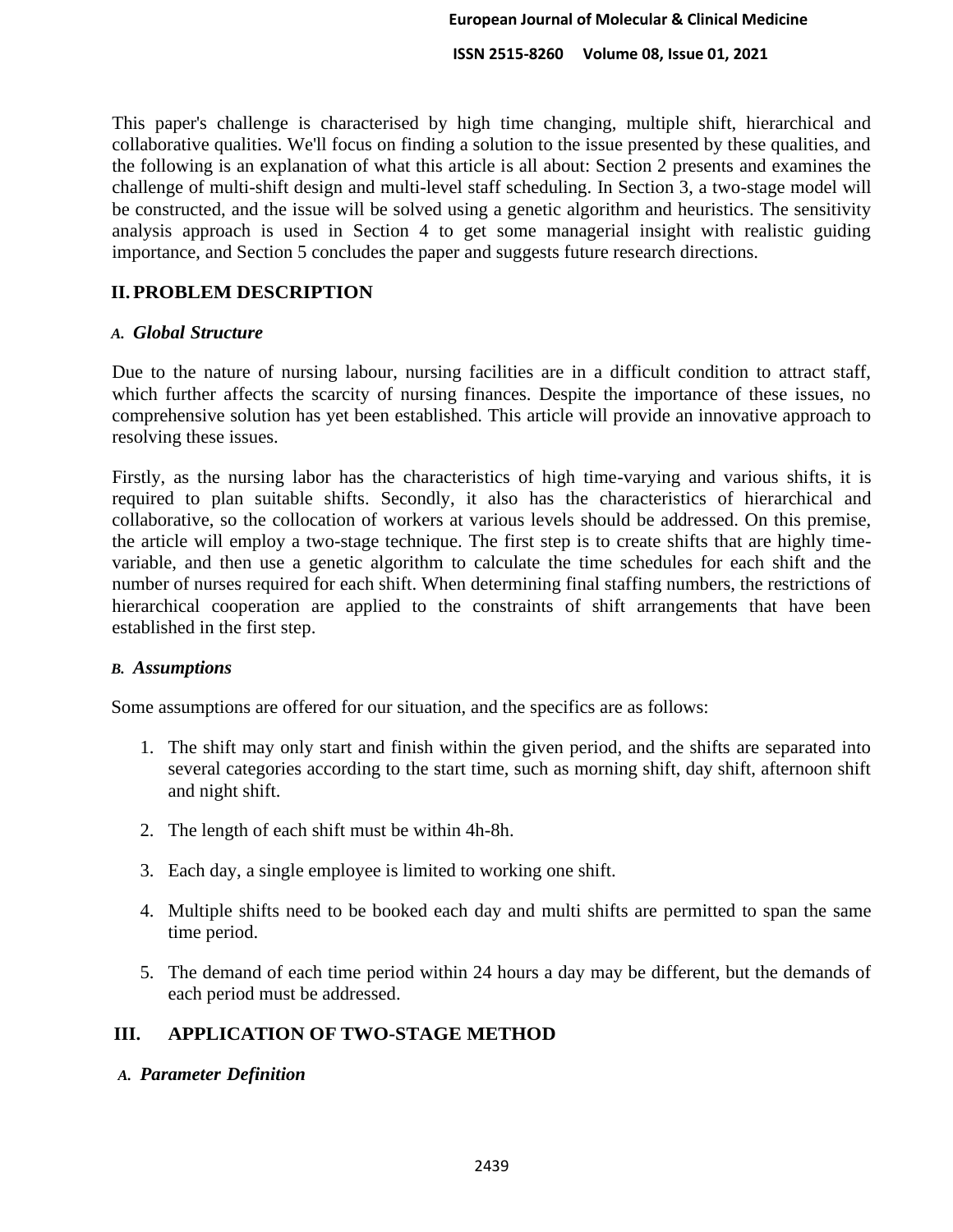This paper's challenge is characterised by high time changing, multiple shift, hierarchical and collaborative qualities. We'll focus on finding a solution to the issue presented by these qualities, and the following is an explanation of what this article is all about: Section 2 presents and examines the challenge of multi-shift design and multi-level staff scheduling. In Section 3, a two-stage model will be constructed, and the issue will be solved using a genetic algorithm and heuristics. The sensitivity analysis approach is used in Section 4 to get some managerial insight with realistic guiding importance, and Section 5 concludes the paper and suggests future research directions.

# **II.PROBLEM DESCRIPTION**

#### *A. Global Structure*

Due to the nature of nursing labour, nursing facilities are in a difficult condition to attract staff, which further affects the scarcity of nursing finances. Despite the importance of these issues, no comprehensive solution has yet been established. This article will provide an innovative approach to resolving these issues.

Firstly, as the nursing labor has the characteristics of high time-varying and various shifts, it is required to plan suitable shifts. Secondly, it also has the characteristics of hierarchical and collaborative, so the collocation of workers at various levels should be addressed. On this premise, the article will employ a two-stage technique. The first step is to create shifts that are highly timevariable, and then use a genetic algorithm to calculate the time schedules for each shift and the number of nurses required for each shift. When determining final staffing numbers, the restrictions of hierarchical cooperation are applied to the constraints of shift arrangements that have been established in the first step.

#### *B. Assumptions*

Some assumptions are offered for our situation, and the specifics are as follows:

- 1. The shift may only start and finish within the given period, and the shifts are separated into several categories according to the start time, such as morning shift, day shift, afternoon shift and night shift.
- 2. The length of each shift must be within 4h-8h.
- 3. Each day, a single employee is limited to working one shift.
- 4. Multiple shifts need to be booked each day and multi shifts are permitted to span the same time period.
- 5. The demand of each time period within 24 hours a day may be different, but the demands of each period must be addressed.

## **III. APPLICATION OF TWO-STAGE METHOD**

*A. Parameter Definition*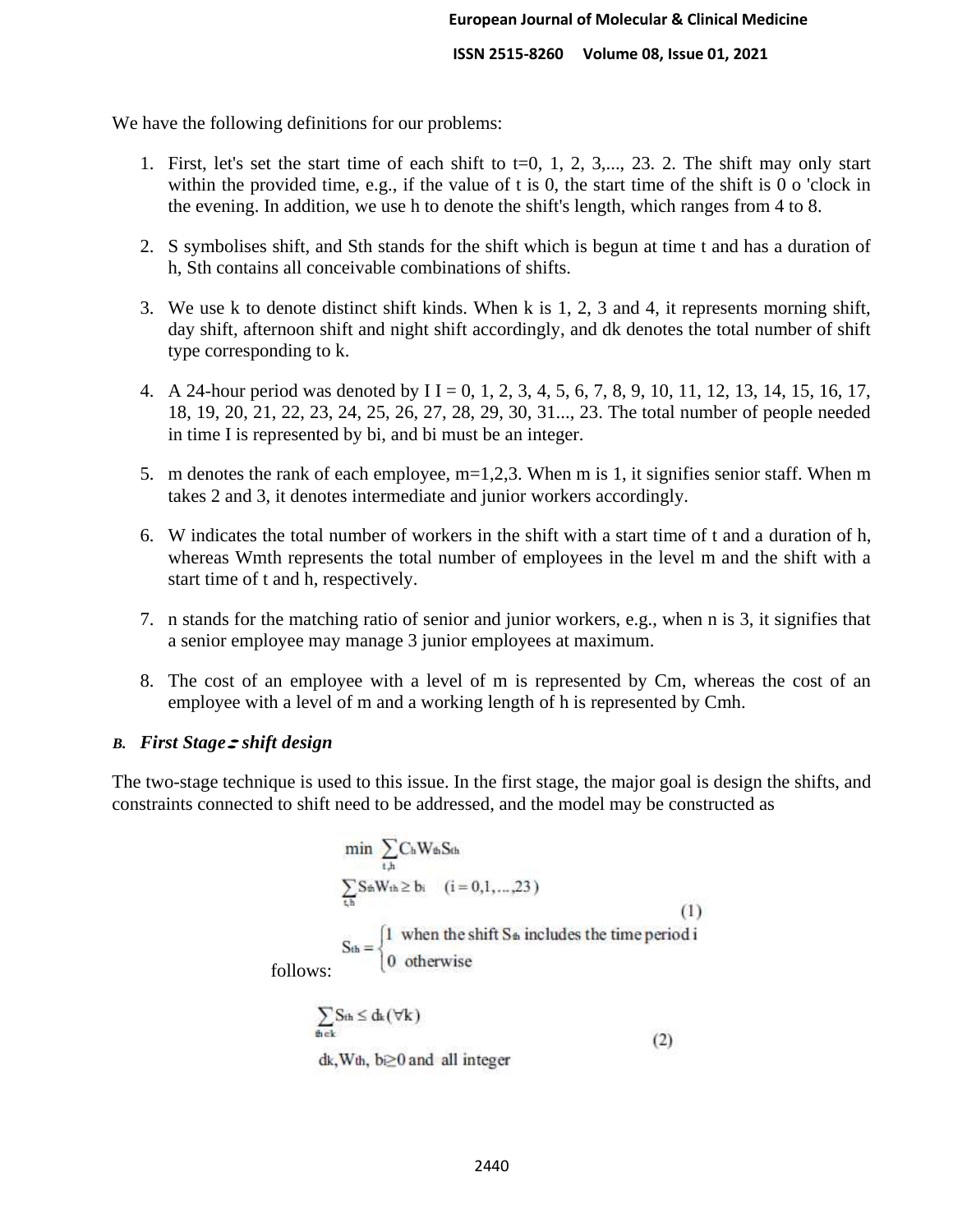We have the following definitions for our problems:

- 1. First, let's set the start time of each shift to  $t=0, 1, 2, 3,..., 23, 2$ . The shift may only start within the provided time, e.g., if the value of t is 0, the start time of the shift is 0 o 'clock in the evening. In addition, we use h to denote the shift's length, which ranges from 4 to 8.
- 2. S symbolises shift, and Sth stands for the shift which is begun at time t and has a duration of h, Sth contains all conceivable combinations of shifts.
- 3. We use k to denote distinct shift kinds. When k is 1, 2, 3 and 4, it represents morning shift, day shift, afternoon shift and night shift accordingly, and dk denotes the total number of shift type corresponding to k.
- 4. A 24-hour period was denoted by I I = 0, 1, 2, 3, 4, 5, 6, 7, 8, 9, 10, 11, 12, 13, 14, 15, 16, 17, 18, 19, 20, 21, 22, 23, 24, 25, 26, 27, 28, 29, 30, 31..., 23. The total number of people needed in time I is represented by bi, and bi must be an integer.
- 5. m denotes the rank of each employee, m=1,2,3. When m is 1, it signifies senior staff. When m takes 2 and 3, it denotes intermediate and junior workers accordingly.
- 6. W indicates the total number of workers in the shift with a start time of t and a duration of h, whereas Wmth represents the total number of employees in the level m and the shift with a start time of t and h, respectively.
- 7. n stands for the matching ratio of senior and junior workers, e.g., when n is 3, it signifies that a senior employee may manage 3 junior employees at maximum.
- 8. The cost of an employee with a level of m is represented by Cm, whereas the cost of an employee with a level of m and a working length of h is represented by Cmh.

## *B. First Stage:shift design*

The two-stage technique is used to this issue. In the first stage, the major goal is design the shifts, and constraints connected to shift need to be addressed, and the model may be constructed as

$$
\min \sum_{t,h} C_h W_{th} S_{th}
$$
\n
$$
\sum_{t,h} S_{th} W_{th} \ge b_i \quad (i = 0, 1, ..., 23)
$$
\n
$$
S_{th} = \begin{cases} 1 & \text{when the shift } S_{th} \text{ includes the time period } i \\ 0 & \text{otherwise} \end{cases}
$$
\n
$$
(1)
$$

follows:

$$
\sum_{\text{th c}k} S_{\text{th}} \leq d_k(\forall k)
$$
 (2)

dk, Wth, b≥0 and all integer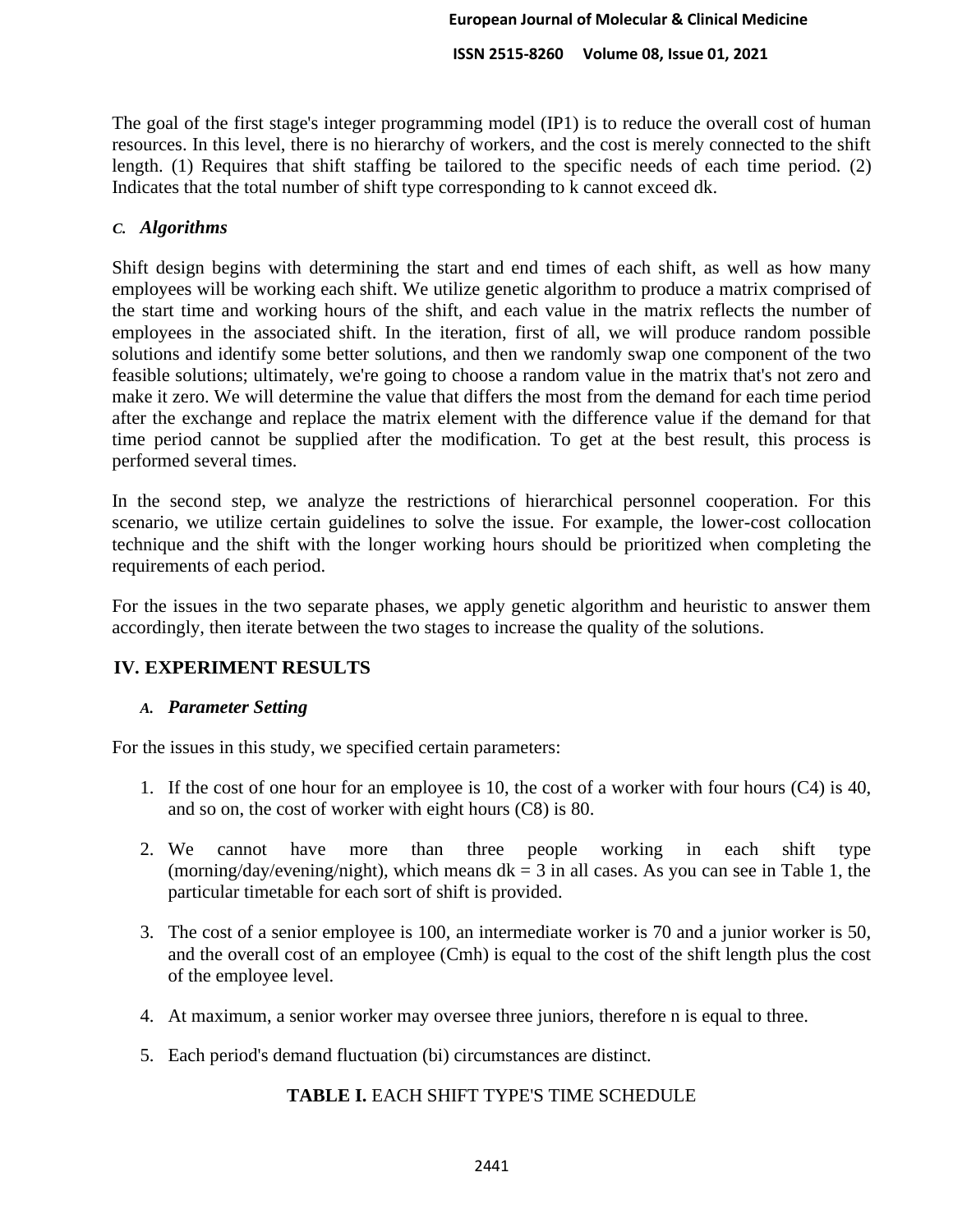The goal of the first stage's integer programming model (IP1) is to reduce the overall cost of human resources. In this level, there is no hierarchy of workers, and the cost is merely connected to the shift length. (1) Requires that shift staffing be tailored to the specific needs of each time period. (2) Indicates that the total number of shift type corresponding to k cannot exceed dk.

## *C. Algorithms*

Shift design begins with determining the start and end times of each shift, as well as how many employees will be working each shift. We utilize genetic algorithm to produce a matrix comprised of the start time and working hours of the shift, and each value in the matrix reflects the number of employees in the associated shift. In the iteration, first of all, we will produce random possible solutions and identify some better solutions, and then we randomly swap one component of the two feasible solutions; ultimately, we're going to choose a random value in the matrix that's not zero and make it zero. We will determine the value that differs the most from the demand for each time period after the exchange and replace the matrix element with the difference value if the demand for that time period cannot be supplied after the modification. To get at the best result, this process is performed several times.

In the second step, we analyze the restrictions of hierarchical personnel cooperation. For this scenario, we utilize certain guidelines to solve the issue. For example, the lower-cost collocation technique and the shift with the longer working hours should be prioritized when completing the requirements of each period.

For the issues in the two separate phases, we apply genetic algorithm and heuristic to answer them accordingly, then iterate between the two stages to increase the quality of the solutions.

# **IV. EXPERIMENT RESULTS**

# *A. Parameter Setting*

For the issues in this study, we specified certain parameters:

- 1. If the cost of one hour for an employee is 10, the cost of a worker with four hours (C4) is 40, and so on, the cost of worker with eight hours (C8) is 80.
- 2. We cannot have more than three people working in each shift type (morning/day/evening/night), which means  $dk = 3$  in all cases. As you can see in Table 1, the particular timetable for each sort of shift is provided.
- 3. The cost of a senior employee is 100, an intermediate worker is 70 and a junior worker is 50, and the overall cost of an employee (Cmh) is equal to the cost of the shift length plus the cost of the employee level.
- 4. At maximum, a senior worker may oversee three juniors, therefore n is equal to three.
- 5. Each period's demand fluctuation (bi) circumstances are distinct.

# **TABLE I.** EACH SHIFT TYPE'S TIME SCHEDULE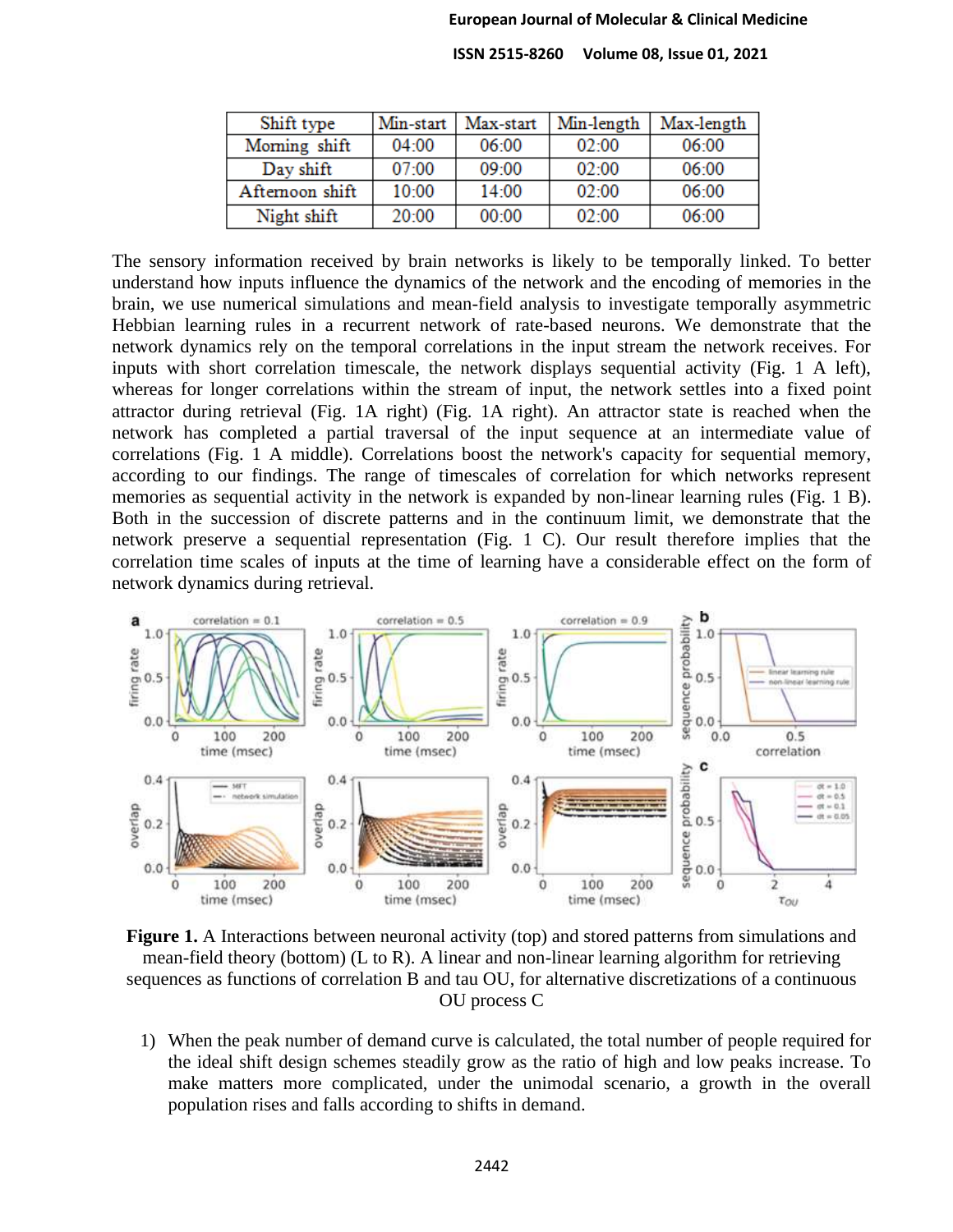#### **European Journal of Molecular & Clinical Medicine**

 **ISSN 2515-8260 Volume 08, Issue 01, 2021**

| Shift type     | Min-start | Max-start | Min-length | Max-length |
|----------------|-----------|-----------|------------|------------|
| Moming shift   | 04:00     | 06:00     | 02:00      | 06:00      |
| Day shift      | 07:00     | 09:00     | 02:00      | 06:00      |
| Aftemoon shift | 10:00     | 14:00     | 02:00      | 06:00      |
| Night shift    | 20:00     | 00:00     | 02:00      | 06:00      |

The sensory information received by brain networks is likely to be temporally linked. To better understand how inputs influence the dynamics of the network and the encoding of memories in the brain, we use numerical simulations and mean-field analysis to investigate temporally asymmetric Hebbian learning rules in a recurrent network of rate-based neurons. We demonstrate that the network dynamics rely on the temporal correlations in the input stream the network receives. For inputs with short correlation timescale, the network displays sequential activity (Fig. 1 A left), whereas for longer correlations within the stream of input, the network settles into a fixed point attractor during retrieval (Fig. 1A right) (Fig. 1A right). An attractor state is reached when the network has completed a partial traversal of the input sequence at an intermediate value of correlations (Fig. 1 A middle). Correlations boost the network's capacity for sequential memory, according to our findings. The range of timescales of correlation for which networks represent memories as sequential activity in the network is expanded by non-linear learning rules (Fig. 1 B). Both in the succession of discrete patterns and in the continuum limit, we demonstrate that the network preserve a sequential representation (Fig. 1 C). Our result therefore implies that the correlation time scales of inputs at the time of learning have a considerable effect on the form of network dynamics during retrieval.



**Figure 1.** A Interactions between neuronal activity (top) and stored patterns from simulations and mean-field theory (bottom) (L to R). A linear and non-linear learning algorithm for retrieving sequences as functions of correlation B and tau OU, for alternative discretizations of a continuous OU process C

1) When the peak number of demand curve is calculated, the total number of people required for the ideal shift design schemes steadily grow as the ratio of high and low peaks increase. To make matters more complicated, under the unimodal scenario, a growth in the overall population rises and falls according to shifts in demand.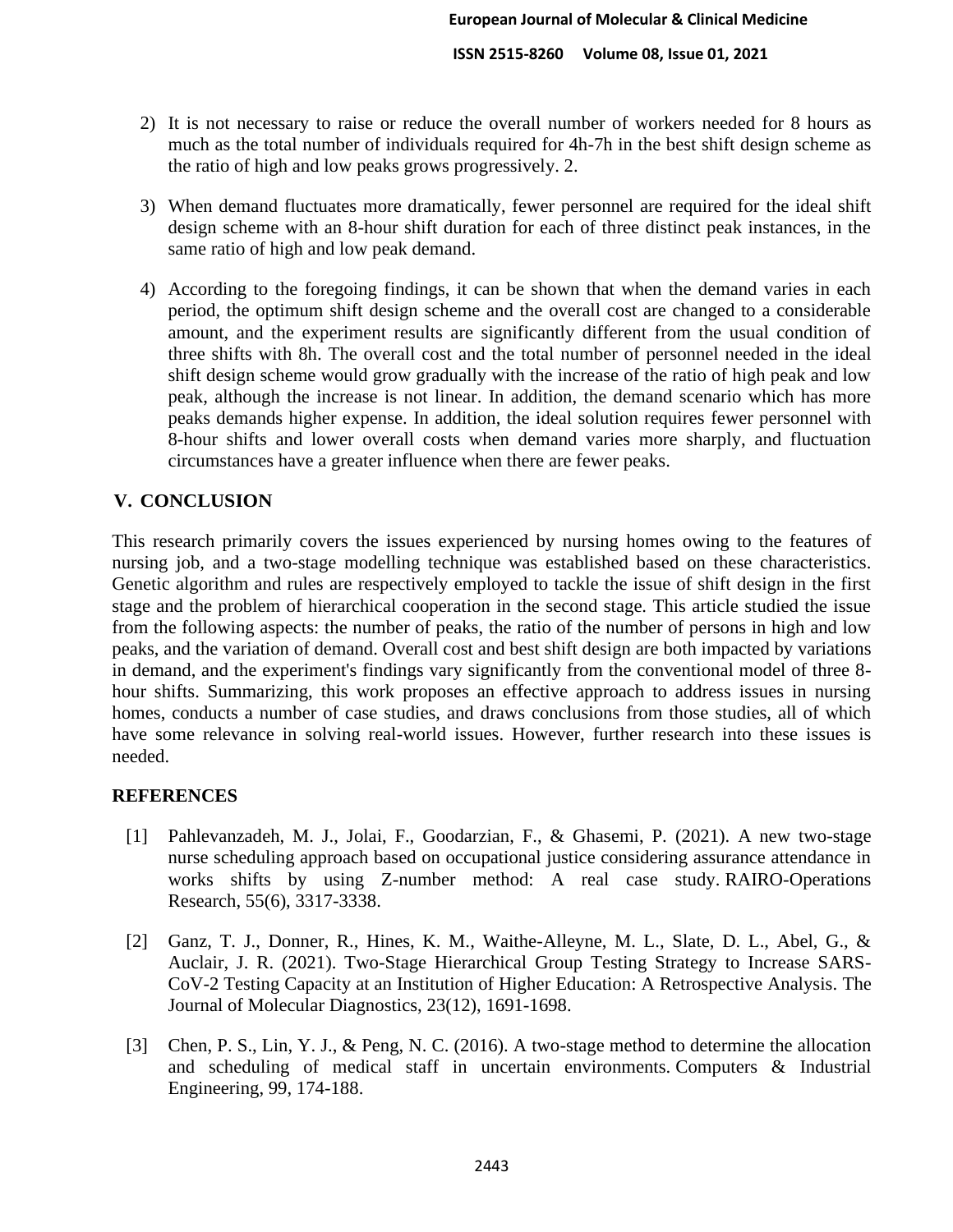- 2) It is not necessary to raise or reduce the overall number of workers needed for 8 hours as much as the total number of individuals required for 4h-7h in the best shift design scheme as the ratio of high and low peaks grows progressively. 2.
- 3) When demand fluctuates more dramatically, fewer personnel are required for the ideal shift design scheme with an 8-hour shift duration for each of three distinct peak instances, in the same ratio of high and low peak demand.
- 4) According to the foregoing findings, it can be shown that when the demand varies in each period, the optimum shift design scheme and the overall cost are changed to a considerable amount, and the experiment results are significantly different from the usual condition of three shifts with 8h. The overall cost and the total number of personnel needed in the ideal shift design scheme would grow gradually with the increase of the ratio of high peak and low peak, although the increase is not linear. In addition, the demand scenario which has more peaks demands higher expense. In addition, the ideal solution requires fewer personnel with 8-hour shifts and lower overall costs when demand varies more sharply, and fluctuation circumstances have a greater influence when there are fewer peaks.

# **V. CONCLUSION**

This research primarily covers the issues experienced by nursing homes owing to the features of nursing job, and a two-stage modelling technique was established based on these characteristics. Genetic algorithm and rules are respectively employed to tackle the issue of shift design in the first stage and the problem of hierarchical cooperation in the second stage. This article studied the issue from the following aspects: the number of peaks, the ratio of the number of persons in high and low peaks, and the variation of demand. Overall cost and best shift design are both impacted by variations in demand, and the experiment's findings vary significantly from the conventional model of three 8 hour shifts. Summarizing, this work proposes an effective approach to address issues in nursing homes, conducts a number of case studies, and draws conclusions from those studies, all of which have some relevance in solving real-world issues. However, further research into these issues is needed.

# **REFERENCES**

- [1] Pahlevanzadeh, M. J., Jolai, F., Goodarzian, F., & Ghasemi, P. (2021). A new two-stage nurse scheduling approach based on occupational justice considering assurance attendance in works shifts by using Z-number method: A real case study. RAIRO-Operations Research, 55(6), 3317-3338.
- [2] Ganz, T. J., Donner, R., Hines, K. M., Waithe-Alleyne, M. L., Slate, D. L., Abel, G., & Auclair, J. R. (2021). Two-Stage Hierarchical Group Testing Strategy to Increase SARS-CoV-2 Testing Capacity at an Institution of Higher Education: A Retrospective Analysis. The Journal of Molecular Diagnostics, 23(12), 1691-1698.
- [3] Chen, P. S., Lin, Y. J., & Peng, N. C. (2016). A two-stage method to determine the allocation and scheduling of medical staff in uncertain environments. Computers & Industrial Engineering, 99, 174-188.